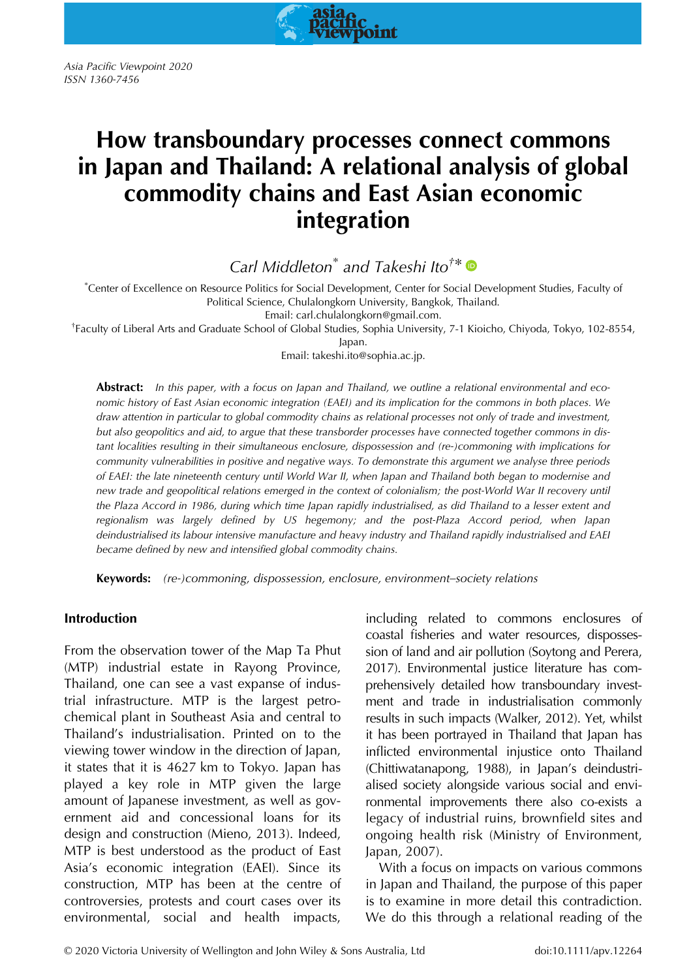Asia Pacific Viewpoint 2020 ISSN 1360-7456

# How transboundary processes connect commons in Japan and Thailand: A relational analysis of global commodity chains and East Asian economic integration

vint

Carl Middleton<sup>\*</sup> and Takeshi Ito<sup>†\*</sup>

\* Center of Excellence on Resource Politics for Social Development, Center for Social Development Studies, Faculty of Political Science, Chulalongkorn University, Bangkok, Thailand.

Email: carl.chulalongkorn@gmail.com.<br>Faculty of Liberal Arts and Graduate School of Global Studies, Sophia University, 7-1 Kioicho, Chiyoda, Tokyo, 102-8554, <sup>†</sup>

Japan.

Email: takeshi.ito@sophia.ac.jp.

Abstract: In this paper, with a focus on Japan and Thailand, we outline a relational environmental and economic history of East Asian economic integration (EAEI) and its implication for the commons in both places. We draw attention in particular to global commodity chains as relational processes not only of trade and investment, but also geopolitics and aid, to argue that these transborder processes have connected together commons in distant localities resulting in their simultaneous enclosure, dispossession and (re-)commoning with implications for community vulnerabilities in positive and negative ways. To demonstrate this argument we analyse three periods of EAEI: the late nineteenth century until World War II, when Japan and Thailand both began to modernise and new trade and geopolitical relations emerged in the context of colonialism; the post-World War II recovery until the Plaza Accord in 1986, during which time Japan rapidly industrialised, as did Thailand to a lesser extent and regionalism was largely defined by US hegemony; and the post-Plaza Accord period, when Japan deindustrialised its labour intensive manufacture and heavy industry and Thailand rapidly industrialised and EAEI became defined by new and intensified global commodity chains.

Keywords: (re-)commoning, dispossession, enclosure, environment–society relations

#### Introduction

From the observation tower of the Map Ta Phut (MTP) industrial estate in Rayong Province, Thailand, one can see a vast expanse of industrial infrastructure. MTP is the largest petrochemical plant in Southeast Asia and central to Thailand's industrialisation. Printed on to the viewing tower window in the direction of Japan, it states that it is 4627 km to Tokyo. Japan has played a key role in MTP given the large amount of Japanese investment, as well as government aid and concessional loans for its design and construction (Mieno, 2013). Indeed, MTP is best understood as the product of East Asia's economic integration (EAEI). Since its construction, MTP has been at the centre of controversies, protests and court cases over its environmental, social and health impacts,

including related to commons enclosures of coastal fisheries and water resources, dispossession of land and air pollution (Soytong and Perera, 2017). Environmental justice literature has comprehensively detailed how transboundary investment and trade in industrialisation commonly results in such impacts (Walker, 2012). Yet, whilst it has been portrayed in Thailand that Japan has inflicted environmental injustice onto Thailand (Chittiwatanapong, 1988), in Japan's deindustrialised society alongside various social and environmental improvements there also co-exists a legacy of industrial ruins, brownfield sites and ongoing health risk (Ministry of Environment, Japan, 2007).

With a focus on impacts on various commons in Japan and Thailand, the purpose of this paper is to examine in more detail this contradiction. We do this through a relational reading of the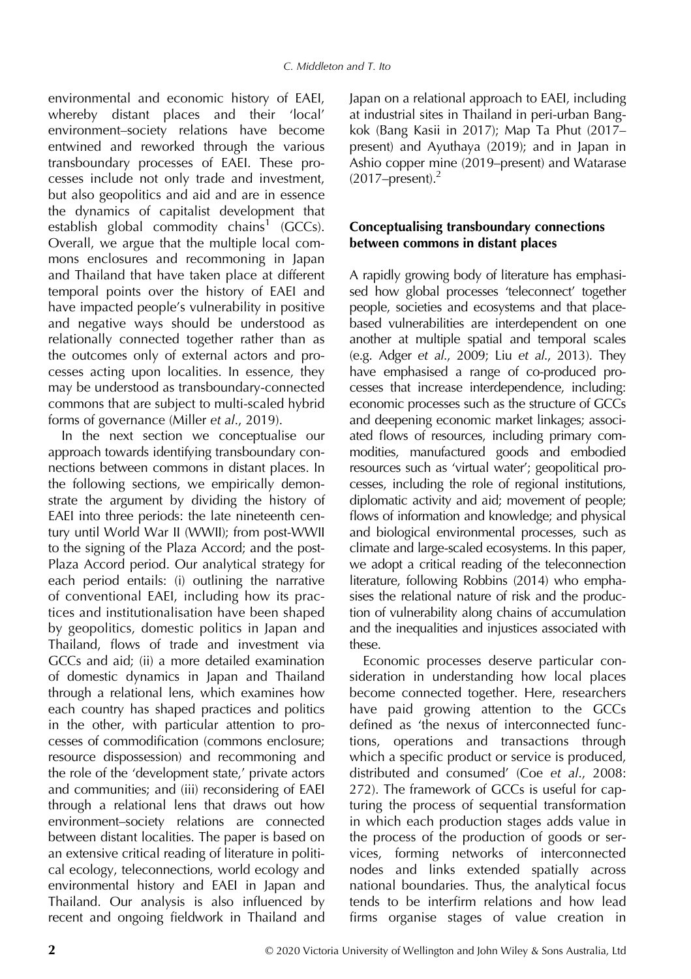environmental and economic history of EAEI, whereby distant places and their 'local' environment–society relations have become entwined and reworked through the various transboundary processes of EAEI. These processes include not only trade and investment, but also geopolitics and aid and are in essence the dynamics of capitalist development that establish global commodity chains<sup>1</sup> (GCCs). Overall, we argue that the multiple local commons enclosures and recommoning in Japan and Thailand that have taken place at different temporal points over the history of EAEI and have impacted people's vulnerability in positive and negative ways should be understood as relationally connected together rather than as the outcomes only of external actors and processes acting upon localities. In essence, they may be understood as transboundary-connected commons that are subject to multi-scaled hybrid forms of governance (Miller et al., 2019).

In the next section we conceptualise our approach towards identifying transboundary connections between commons in distant places. In the following sections, we empirically demonstrate the argument by dividing the history of EAEI into three periods: the late nineteenth century until World War II (WWII); from post-WWII to the signing of the Plaza Accord; and the post-Plaza Accord period. Our analytical strategy for each period entails: (i) outlining the narrative of conventional EAEI, including how its practices and institutionalisation have been shaped by geopolitics, domestic politics in Japan and Thailand, flows of trade and investment via GCCs and aid; (ii) a more detailed examination of domestic dynamics in Japan and Thailand through a relational lens, which examines how each country has shaped practices and politics in the other, with particular attention to processes of commodification (commons enclosure; resource dispossession) and recommoning and the role of the 'development state,' private actors and communities; and (iii) reconsidering of EAEI through a relational lens that draws out how environment–society relations are connected between distant localities. The paper is based on an extensive critical reading of literature in political ecology, teleconnections, world ecology and environmental history and EAEI in Japan and Thailand. Our analysis is also influenced by recent and ongoing fieldwork in Thailand and Japan on a relational approach to EAEI, including at industrial sites in Thailand in peri-urban Bangkok (Bang Kasii in 2017); Map Ta Phut (2017– present) and Ayuthaya (2019); and in Japan in Ashio copper mine (2019–present) and Watarase  $(2017–present).<sup>2</sup>$ 

## Conceptualising transboundary connections between commons in distant places

A rapidly growing body of literature has emphasised how global processes 'teleconnect' together people, societies and ecosystems and that placebased vulnerabilities are interdependent on one another at multiple spatial and temporal scales (e.g. Adger et al., 2009; Liu et al., 2013). They have emphasised a range of co-produced processes that increase interdependence, including: economic processes such as the structure of GCCs and deepening economic market linkages; associated flows of resources, including primary commodities, manufactured goods and embodied resources such as 'virtual water'; geopolitical processes, including the role of regional institutions, diplomatic activity and aid; movement of people; flows of information and knowledge; and physical and biological environmental processes, such as climate and large-scaled ecosystems. In this paper, we adopt a critical reading of the teleconnection literature, following Robbins (2014) who emphasises the relational nature of risk and the production of vulnerability along chains of accumulation and the inequalities and injustices associated with these.

Economic processes deserve particular consideration in understanding how local places become connected together. Here, researchers have paid growing attention to the GCCs defined as 'the nexus of interconnected functions, operations and transactions through which a specific product or service is produced, distributed and consumed' (Coe et al., 2008: 272). The framework of GCCs is useful for capturing the process of sequential transformation in which each production stages adds value in the process of the production of goods or services, forming networks of interconnected nodes and links extended spatially across national boundaries. Thus, the analytical focus tends to be interfirm relations and how lead firms organise stages of value creation in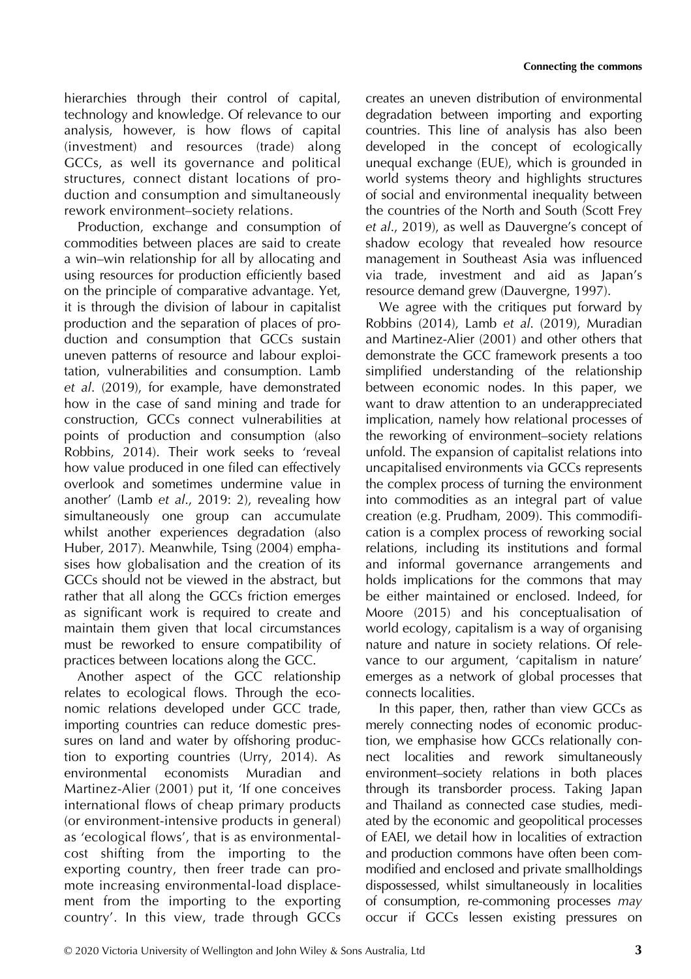hierarchies through their control of capital, technology and knowledge. Of relevance to our analysis, however, is how flows of capital (investment) and resources (trade) along GCCs, as well its governance and political structures, connect distant locations of production and consumption and simultaneously rework environment–society relations.

Production, exchange and consumption of commodities between places are said to create a win–win relationship for all by allocating and using resources for production efficiently based on the principle of comparative advantage. Yet, it is through the division of labour in capitalist production and the separation of places of production and consumption that GCCs sustain uneven patterns of resource and labour exploitation, vulnerabilities and consumption. Lamb et al. (2019), for example, have demonstrated how in the case of sand mining and trade for construction, GCCs connect vulnerabilities at points of production and consumption (also Robbins, 2014). Their work seeks to 'reveal how value produced in one filed can effectively overlook and sometimes undermine value in another' (Lamb et al., 2019: 2), revealing how simultaneously one group can accumulate whilst another experiences degradation (also Huber, 2017). Meanwhile, Tsing (2004) emphasises how globalisation and the creation of its GCCs should not be viewed in the abstract, but rather that all along the GCCs friction emerges as significant work is required to create and maintain them given that local circumstances must be reworked to ensure compatibility of practices between locations along the GCC.

Another aspect of the GCC relationship relates to ecological flows. Through the economic relations developed under GCC trade, importing countries can reduce domestic pressures on land and water by offshoring production to exporting countries (Urry, 2014). As environmental economists Muradian and Martinez-Alier (2001) put it, 'If one conceives international flows of cheap primary products (or environment-intensive products in general) as 'ecological flows', that is as environmentalcost shifting from the importing to the exporting country, then freer trade can promote increasing environmental-load displacement from the importing to the exporting country'. In this view, trade through GCCs

creates an uneven distribution of environmental degradation between importing and exporting countries. This line of analysis has also been developed in the concept of ecologically unequal exchange (EUE), which is grounded in world systems theory and highlights structures of social and environmental inequality between the countries of the North and South (Scott Frey et al., 2019), as well as Dauvergne's concept of shadow ecology that revealed how resource management in Southeast Asia was influenced via trade, investment and aid as Japan's resource demand grew (Dauvergne, 1997).

We agree with the critiques put forward by Robbins (2014), Lamb et al. (2019), Muradian and Martinez-Alier (2001) and other others that demonstrate the GCC framework presents a too simplified understanding of the relationship between economic nodes. In this paper, we want to draw attention to an underappreciated implication, namely how relational processes of the reworking of environment–society relations unfold. The expansion of capitalist relations into uncapitalised environments via GCCs represents the complex process of turning the environment into commodities as an integral part of value creation (e.g. Prudham, 2009). This commodification is a complex process of reworking social relations, including its institutions and formal and informal governance arrangements and holds implications for the commons that may be either maintained or enclosed. Indeed, for Moore (2015) and his conceptualisation of world ecology, capitalism is a way of organising nature and nature in society relations. Of relevance to our argument, 'capitalism in nature' emerges as a network of global processes that connects localities.

In this paper, then, rather than view GCCs as merely connecting nodes of economic production, we emphasise how GCCs relationally connect localities and rework simultaneously environment–society relations in both places through its transborder process. Taking Japan and Thailand as connected case studies, mediated by the economic and geopolitical processes of EAEI, we detail how in localities of extraction and production commons have often been commodified and enclosed and private smallholdings dispossessed, whilst simultaneously in localities of consumption, re-commoning processes may occur if GCCs lessen existing pressures on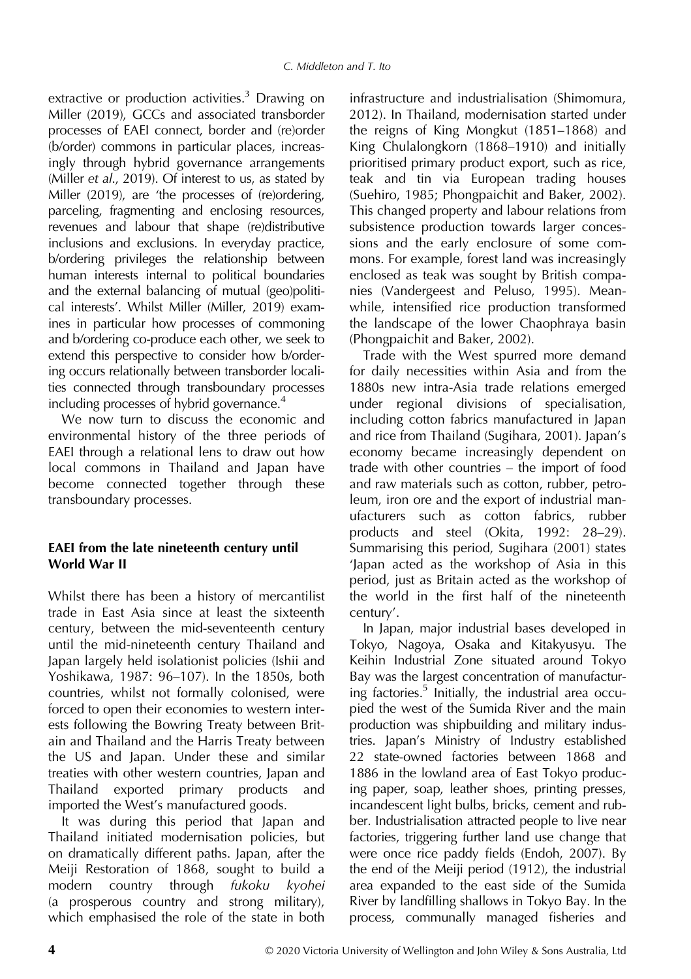extractive or production activities.<sup>3</sup> Drawing on Miller (2019), GCCs and associated transborder processes of EAEI connect, border and (re)order (b/order) commons in particular places, increasingly through hybrid governance arrangements (Miller et al., 2019). Of interest to us, as stated by Miller (2019), are 'the processes of (re)ordering, parceling, fragmenting and enclosing resources, revenues and labour that shape (re)distributive inclusions and exclusions. In everyday practice, b/ordering privileges the relationship between human interests internal to political boundaries and the external balancing of mutual (geo)political interests'. Whilst Miller (Miller, 2019) examines in particular how processes of commoning and b/ordering co-produce each other, we seek to extend this perspective to consider how b/ordering occurs relationally between transborder localities connected through transboundary processes including processes of hybrid governance.<sup>4</sup>

We now turn to discuss the economic and environmental history of the three periods of EAEI through a relational lens to draw out how local commons in Thailand and Japan have become connected together through these transboundary processes.

## EAEI from the late nineteenth century until World War II

Whilst there has been a history of mercantilist trade in East Asia since at least the sixteenth century, between the mid-seventeenth century until the mid-nineteenth century Thailand and Japan largely held isolationist policies (Ishii and Yoshikawa, 1987: 96–107). In the 1850s, both countries, whilst not formally colonised, were forced to open their economies to western interests following the Bowring Treaty between Britain and Thailand and the Harris Treaty between the US and Japan. Under these and similar treaties with other western countries, Japan and Thailand exported primary products and imported the West's manufactured goods.

It was during this period that Japan and Thailand initiated modernisation policies, but on dramatically different paths. Japan, after the Meiji Restoration of 1868, sought to build a modern country through fukoku kyohei (a prosperous country and strong military), which emphasised the role of the state in both

infrastructure and industrialisation (Shimomura, 2012). In Thailand, modernisation started under the reigns of King Mongkut (1851–1868) and King Chulalongkorn (1868–1910) and initially prioritised primary product export, such as rice, teak and tin via European trading houses (Suehiro, 1985; Phongpaichit and Baker, 2002). This changed property and labour relations from subsistence production towards larger concessions and the early enclosure of some commons. For example, forest land was increasingly enclosed as teak was sought by British companies (Vandergeest and Peluso, 1995). Meanwhile, intensified rice production transformed the landscape of the lower Chaophraya basin (Phongpaichit and Baker, 2002).

Trade with the West spurred more demand for daily necessities within Asia and from the 1880s new intra-Asia trade relations emerged under regional divisions of specialisation, including cotton fabrics manufactured in Japan and rice from Thailand (Sugihara, 2001). Japan's economy became increasingly dependent on trade with other countries – the import of food and raw materials such as cotton, rubber, petroleum, iron ore and the export of industrial manufacturers such as cotton fabrics, rubber products and steel (Okita, 1992: 28–29). Summarising this period, Sugihara (2001) states 'Japan acted as the workshop of Asia in this period, just as Britain acted as the workshop of the world in the first half of the nineteenth century'.

In Japan, major industrial bases developed in Tokyo, Nagoya, Osaka and Kitakyusyu. The Keihin Industrial Zone situated around Tokyo Bay was the largest concentration of manufacturing factories.<sup>5</sup> Initially, the industrial area occupied the west of the Sumida River and the main production was shipbuilding and military industries. Japan's Ministry of Industry established 22 state-owned factories between 1868 and 1886 in the lowland area of East Tokyo producing paper, soap, leather shoes, printing presses, incandescent light bulbs, bricks, cement and rubber. Industrialisation attracted people to live near factories, triggering further land use change that were once rice paddy fields (Endoh, 2007). By the end of the Meiji period (1912), the industrial area expanded to the east side of the Sumida River by landfilling shallows in Tokyo Bay. In the process, communally managed fisheries and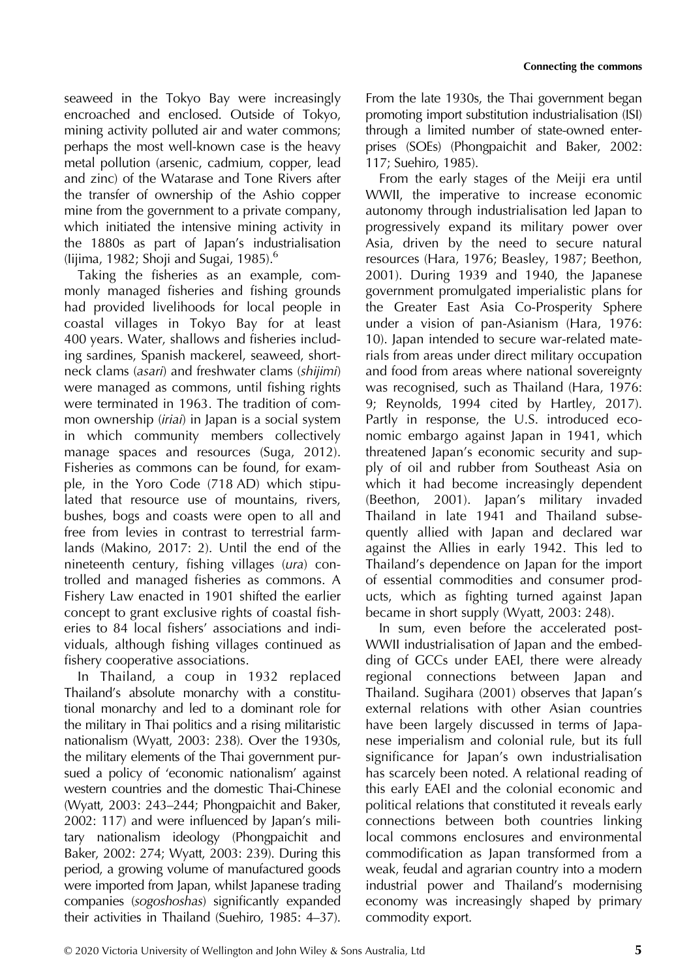seaweed in the Tokyo Bay were increasingly encroached and enclosed. Outside of Tokyo, mining activity polluted air and water commons; perhaps the most well-known case is the heavy metal pollution (arsenic, cadmium, copper, lead and zinc) of the Watarase and Tone Rivers after the transfer of ownership of the Ashio copper mine from the government to a private company, which initiated the intensive mining activity in the 1880s as part of Japan's industrialisation (Iijima, 1982; Shoji and Sugai, 1985).<sup>6</sup>

Taking the fisheries as an example, commonly managed fisheries and fishing grounds had provided livelihoods for local people in coastal villages in Tokyo Bay for at least 400 years. Water, shallows and fisheries including sardines, Spanish mackerel, seaweed, shortneck clams (asari) and freshwater clams (shijimi) were managed as commons, until fishing rights were terminated in 1963. The tradition of common ownership *(iriai)* in Japan is a social system in which community members collectively manage spaces and resources (Suga, 2012). Fisheries as commons can be found, for example, in the Yoro Code (718 AD) which stipulated that resource use of mountains, rivers, bushes, bogs and coasts were open to all and free from levies in contrast to terrestrial farmlands (Makino, 2017: 2). Until the end of the nineteenth century, fishing villages (ura) controlled and managed fisheries as commons. A Fishery Law enacted in 1901 shifted the earlier concept to grant exclusive rights of coastal fisheries to 84 local fishers' associations and individuals, although fishing villages continued as fishery cooperative associations.

In Thailand, a coup in 1932 replaced Thailand's absolute monarchy with a constitutional monarchy and led to a dominant role for the military in Thai politics and a rising militaristic nationalism (Wyatt, 2003: 238). Over the 1930s, the military elements of the Thai government pursued a policy of 'economic nationalism' against western countries and the domestic Thai-Chinese (Wyatt, 2003: 243–244; Phongpaichit and Baker, 2002: 117) and were influenced by Japan's military nationalism ideology (Phongpaichit and Baker, 2002: 274; Wyatt, 2003: 239). During this period, a growing volume of manufactured goods were imported from Japan, whilst Japanese trading companies (sogoshoshas) significantly expanded their activities in Thailand (Suehiro, 1985: 4–37).

From the late 1930s, the Thai government began promoting import substitution industrialisation (ISI) through a limited number of state-owned enterprises (SOEs) (Phongpaichit and Baker, 2002: 117; Suehiro, 1985).

From the early stages of the Meiji era until WWII, the imperative to increase economic autonomy through industrialisation led Japan to progressively expand its military power over Asia, driven by the need to secure natural resources (Hara, 1976; Beasley, 1987; Beethon, 2001). During 1939 and 1940, the Japanese government promulgated imperialistic plans for the Greater East Asia Co-Prosperity Sphere under a vision of pan-Asianism (Hara, 1976: 10). Japan intended to secure war-related materials from areas under direct military occupation and food from areas where national sovereignty was recognised, such as Thailand (Hara, 1976: 9; Reynolds, 1994 cited by Hartley, 2017). Partly in response, the U.S. introduced economic embargo against Japan in 1941, which threatened Japan's economic security and supply of oil and rubber from Southeast Asia on which it had become increasingly dependent (Beethon, 2001). Japan's military invaded Thailand in late 1941 and Thailand subsequently allied with Japan and declared war against the Allies in early 1942. This led to Thailand's dependence on Japan for the import of essential commodities and consumer products, which as fighting turned against Japan became in short supply (Wyatt, 2003: 248).

In sum, even before the accelerated post-WWII industrialisation of Japan and the embedding of GCCs under EAEI, there were already regional connections between Japan and Thailand. Sugihara (2001) observes that Japan's external relations with other Asian countries have been largely discussed in terms of Japanese imperialism and colonial rule, but its full significance for Japan's own industrialisation has scarcely been noted. A relational reading of this early EAEI and the colonial economic and political relations that constituted it reveals early connections between both countries linking local commons enclosures and environmental commodification as Japan transformed from a weak, feudal and agrarian country into a modern industrial power and Thailand's modernising economy was increasingly shaped by primary commodity export.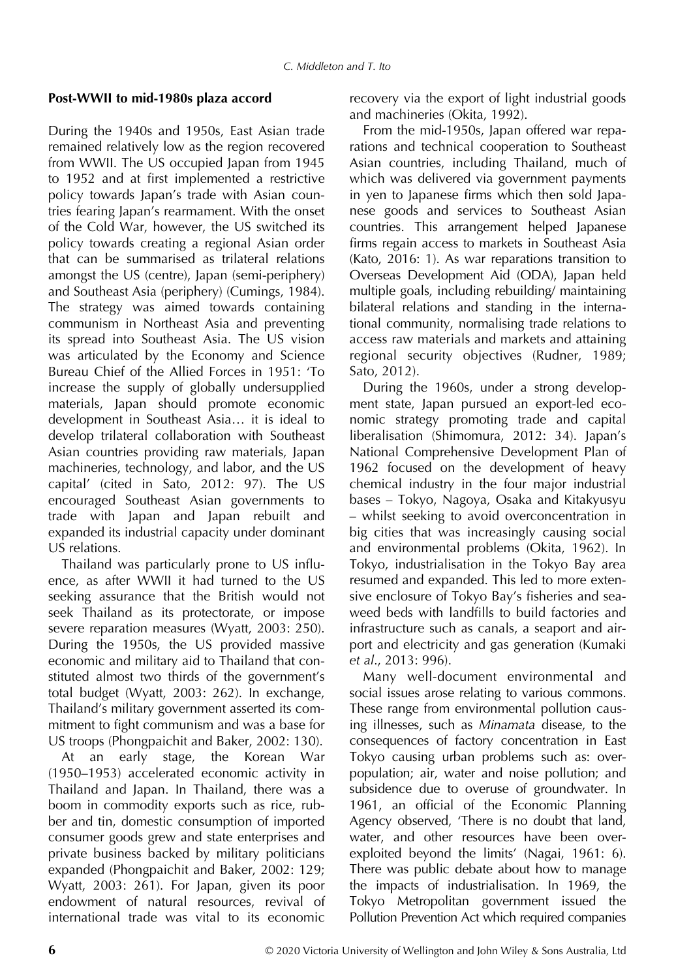### Post-WWII to mid-1980s plaza accord

During the 1940s and 1950s, East Asian trade remained relatively low as the region recovered from WWII. The US occupied Japan from 1945 to 1952 and at first implemented a restrictive policy towards Japan's trade with Asian countries fearing Japan's rearmament. With the onset of the Cold War, however, the US switched its policy towards creating a regional Asian order that can be summarised as trilateral relations amongst the US (centre), Japan (semi-periphery) and Southeast Asia (periphery) (Cumings, 1984). The strategy was aimed towards containing communism in Northeast Asia and preventing its spread into Southeast Asia. The US vision was articulated by the Economy and Science Bureau Chief of the Allied Forces in 1951: 'To increase the supply of globally undersupplied materials, Japan should promote economic development in Southeast Asia… it is ideal to develop trilateral collaboration with Southeast Asian countries providing raw materials, Japan machineries, technology, and labor, and the US capital' (cited in Sato, 2012: 97). The US encouraged Southeast Asian governments to trade with Japan and Japan rebuilt and expanded its industrial capacity under dominant US relations.

Thailand was particularly prone to US influence, as after WWII it had turned to the US seeking assurance that the British would not seek Thailand as its protectorate, or impose severe reparation measures (Wyatt, 2003: 250). During the 1950s, the US provided massive economic and military aid to Thailand that constituted almost two thirds of the government's total budget (Wyatt, 2003: 262). In exchange, Thailand's military government asserted its commitment to fight communism and was a base for US troops (Phongpaichit and Baker, 2002: 130).

At an early stage, the Korean War (1950–1953) accelerated economic activity in Thailand and Japan. In Thailand, there was a boom in commodity exports such as rice, rubber and tin, domestic consumption of imported consumer goods grew and state enterprises and private business backed by military politicians expanded (Phongpaichit and Baker, 2002: 129; Wyatt, 2003: 261). For Japan, given its poor endowment of natural resources, revival of international trade was vital to its economic recovery via the export of light industrial goods and machineries (Okita, 1992).

From the mid-1950s, Japan offered war reparations and technical cooperation to Southeast Asian countries, including Thailand, much of which was delivered via government payments in yen to Japanese firms which then sold Japanese goods and services to Southeast Asian countries. This arrangement helped Japanese firms regain access to markets in Southeast Asia (Kato, 2016: 1). As war reparations transition to Overseas Development Aid (ODA), Japan held multiple goals, including rebuilding/ maintaining bilateral relations and standing in the international community, normalising trade relations to access raw materials and markets and attaining regional security objectives (Rudner, 1989; Sato, 2012).

During the 1960s, under a strong development state, Japan pursued an export-led economic strategy promoting trade and capital liberalisation (Shimomura, 2012: 34). Japan's National Comprehensive Development Plan of 1962 focused on the development of heavy chemical industry in the four major industrial bases – Tokyo, Nagoya, Osaka and Kitakyusyu – whilst seeking to avoid overconcentration in big cities that was increasingly causing social and environmental problems (Okita, 1962). In Tokyo, industrialisation in the Tokyo Bay area resumed and expanded. This led to more extensive enclosure of Tokyo Bay's fisheries and seaweed beds with landfills to build factories and infrastructure such as canals, a seaport and airport and electricity and gas generation (Kumaki et al., 2013: 996).

Many well-document environmental and social issues arose relating to various commons. These range from environmental pollution causing illnesses, such as Minamata disease, to the consequences of factory concentration in East Tokyo causing urban problems such as: overpopulation; air, water and noise pollution; and subsidence due to overuse of groundwater. In 1961, an official of the Economic Planning Agency observed, 'There is no doubt that land, water, and other resources have been overexploited beyond the limits' (Nagai, 1961: 6). There was public debate about how to manage the impacts of industrialisation. In 1969, the Tokyo Metropolitan government issued the Pollution Prevention Act which required companies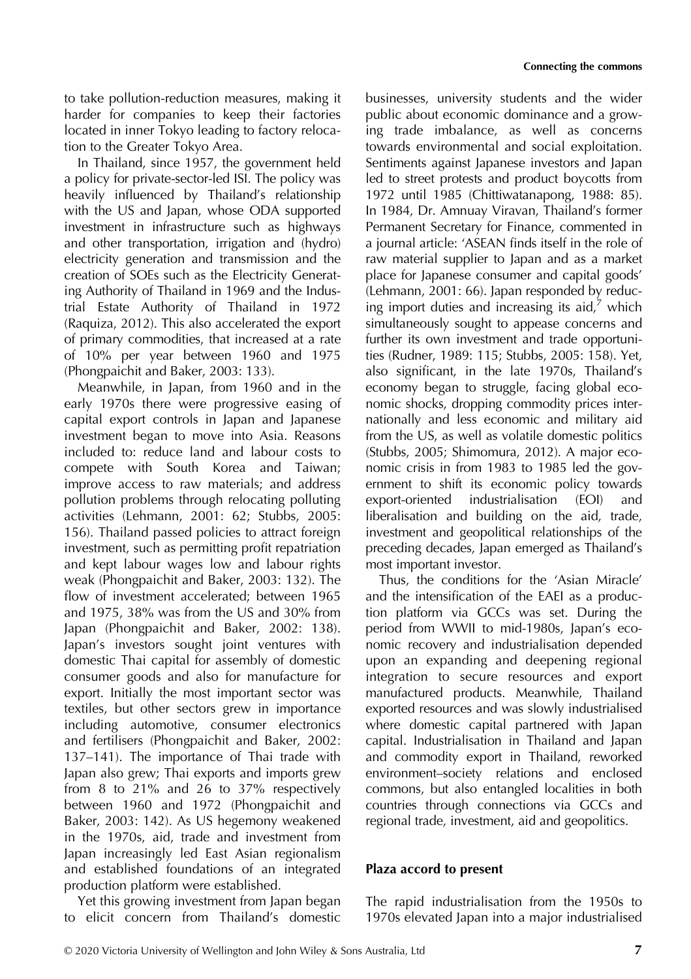to take pollution-reduction measures, making it harder for companies to keep their factories located in inner Tokyo leading to factory relocation to the Greater Tokyo Area.

In Thailand, since 1957, the government held a policy for private-sector-led ISI. The policy was heavily influenced by Thailand's relationship with the US and Japan, whose ODA supported investment in infrastructure such as highways and other transportation, irrigation and (hydro) electricity generation and transmission and the creation of SOEs such as the Electricity Generating Authority of Thailand in 1969 and the Industrial Estate Authority of Thailand in 1972 (Raquiza, 2012). This also accelerated the export of primary commodities, that increased at a rate of 10% per year between 1960 and 1975 (Phongpaichit and Baker, 2003: 133).

Meanwhile, in Japan, from 1960 and in the early 1970s there were progressive easing of capital export controls in Japan and Japanese investment began to move into Asia. Reasons included to: reduce land and labour costs to compete with South Korea and Taiwan; improve access to raw materials; and address pollution problems through relocating polluting activities (Lehmann, 2001: 62; Stubbs, 2005: 156). Thailand passed policies to attract foreign investment, such as permitting profit repatriation and kept labour wages low and labour rights weak (Phongpaichit and Baker, 2003: 132). The flow of investment accelerated; between 1965 and 1975, 38% was from the US and 30% from Japan (Phongpaichit and Baker, 2002: 138). Japan's investors sought joint ventures with domestic Thai capital for assembly of domestic consumer goods and also for manufacture for export. Initially the most important sector was textiles, but other sectors grew in importance including automotive, consumer electronics and fertilisers (Phongpaichit and Baker, 2002: 137–141). The importance of Thai trade with Japan also grew; Thai exports and imports grew from 8 to 21% and 26 to 37% respectively between 1960 and 1972 (Phongpaichit and Baker, 2003: 142). As US hegemony weakened in the 1970s, aid, trade and investment from Japan increasingly led East Asian regionalism and established foundations of an integrated production platform were established.

Yet this growing investment from Japan began to elicit concern from Thailand's domestic

businesses, university students and the wider public about economic dominance and a growing trade imbalance, as well as concerns towards environmental and social exploitation. Sentiments against Japanese investors and Japan led to street protests and product boycotts from 1972 until 1985 (Chittiwatanapong, 1988: 85). In 1984, Dr. Amnuay Viravan, Thailand's former Permanent Secretary for Finance, commented in a journal article: 'ASEAN finds itself in the role of raw material supplier to Japan and as a market place for Japanese consumer and capital goods' (Lehmann, 2001: 66). Japan responded by reducing import duties and increasing its aid,<sup>7</sup> which simultaneously sought to appease concerns and further its own investment and trade opportunities (Rudner, 1989: 115; Stubbs, 2005: 158). Yet, also significant, in the late 1970s, Thailand's economy began to struggle, facing global economic shocks, dropping commodity prices internationally and less economic and military aid from the US, as well as volatile domestic politics (Stubbs, 2005; Shimomura, 2012). A major economic crisis in from 1983 to 1985 led the government to shift its economic policy towards export-oriented industrialisation (EOI) and liberalisation and building on the aid, trade, investment and geopolitical relationships of the preceding decades, Japan emerged as Thailand's most important investor.

Thus, the conditions for the 'Asian Miracle' and the intensification of the EAEI as a production platform via GCCs was set. During the period from WWII to mid-1980s, Japan's economic recovery and industrialisation depended upon an expanding and deepening regional integration to secure resources and export manufactured products. Meanwhile, Thailand exported resources and was slowly industrialised where domestic capital partnered with Japan capital. Industrialisation in Thailand and Japan and commodity export in Thailand, reworked environment–society relations and enclosed commons, but also entangled localities in both countries through connections via GCCs and regional trade, investment, aid and geopolitics.

## Plaza accord to present

The rapid industrialisation from the 1950s to 1970s elevated Japan into a major industrialised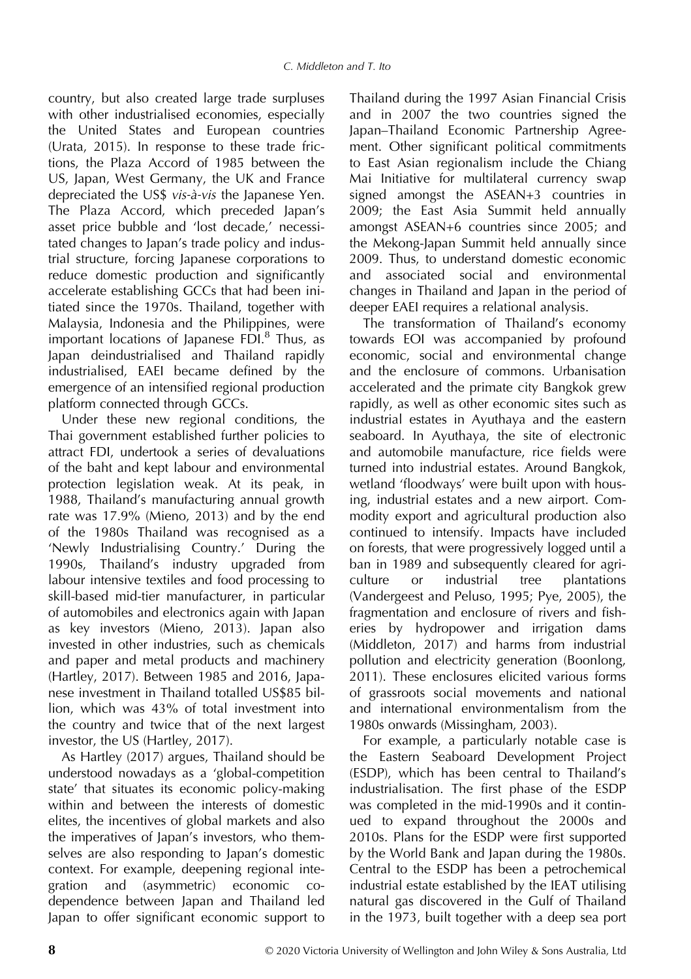country, but also created large trade surpluses with other industrialised economies, especially the United States and European countries (Urata, 2015). In response to these trade frictions, the Plaza Accord of 1985 between the US, Japan, West Germany, the UK and France depreciated the US\$ vis-à-vis the Japanese Yen. The Plaza Accord, which preceded Japan's asset price bubble and 'lost decade,' necessitated changes to Japan's trade policy and industrial structure, forcing Japanese corporations to reduce domestic production and significantly accelerate establishing GCCs that had been initiated since the 1970s. Thailand, together with Malaysia, Indonesia and the Philippines, were important locations of Japanese  $FDI<sup>8</sup>$ . Thus, as Japan deindustrialised and Thailand rapidly industrialised, EAEI became defined by the emergence of an intensified regional production platform connected through GCCs.

Under these new regional conditions, the Thai government established further policies to attract FDI, undertook a series of devaluations of the baht and kept labour and environmental protection legislation weak. At its peak, in 1988, Thailand's manufacturing annual growth rate was 17.9% (Mieno, 2013) and by the end of the 1980s Thailand was recognised as a 'Newly Industrialising Country.' During the 1990s, Thailand's industry upgraded from labour intensive textiles and food processing to skill-based mid-tier manufacturer, in particular of automobiles and electronics again with Japan as key investors (Mieno, 2013). Japan also invested in other industries, such as chemicals and paper and metal products and machinery (Hartley, 2017). Between 1985 and 2016, Japanese investment in Thailand totalled US\$85 billion, which was 43% of total investment into the country and twice that of the next largest investor, the US (Hartley, 2017).

As Hartley (2017) argues, Thailand should be understood nowadays as a 'global-competition state' that situates its economic policy-making within and between the interests of domestic elites, the incentives of global markets and also the imperatives of Japan's investors, who themselves are also responding to Japan's domestic context. For example, deepening regional integration and (asymmetric) economic codependence between Japan and Thailand led Japan to offer significant economic support to

Thailand during the 1997 Asian Financial Crisis and in 2007 the two countries signed the Japan–Thailand Economic Partnership Agreement. Other significant political commitments to East Asian regionalism include the Chiang Mai Initiative for multilateral currency swap signed amongst the ASEAN+3 countries in 2009; the East Asia Summit held annually amongst ASEAN+6 countries since 2005; and the Mekong-Japan Summit held annually since 2009. Thus, to understand domestic economic and associated social and environmental changes in Thailand and Japan in the period of deeper EAEI requires a relational analysis.

The transformation of Thailand's economy towards EOI was accompanied by profound economic, social and environmental change and the enclosure of commons. Urbanisation accelerated and the primate city Bangkok grew rapidly, as well as other economic sites such as industrial estates in Ayuthaya and the eastern seaboard. In Ayuthaya, the site of electronic and automobile manufacture, rice fields were turned into industrial estates. Around Bangkok, wetland 'floodways' were built upon with housing, industrial estates and a new airport. Commodity export and agricultural production also continued to intensify. Impacts have included on forests, that were progressively logged until a ban in 1989 and subsequently cleared for agriculture or industrial tree plantations (Vandergeest and Peluso, 1995; Pye, 2005), the fragmentation and enclosure of rivers and fisheries by hydropower and irrigation dams (Middleton, 2017) and harms from industrial pollution and electricity generation (Boonlong, 2011). These enclosures elicited various forms of grassroots social movements and national and international environmentalism from the 1980s onwards (Missingham, 2003).

For example, a particularly notable case is the Eastern Seaboard Development Project (ESDP), which has been central to Thailand's industrialisation. The first phase of the ESDP was completed in the mid-1990s and it continued to expand throughout the 2000s and 2010s. Plans for the ESDP were first supported by the World Bank and Japan during the 1980s. Central to the ESDP has been a petrochemical industrial estate established by the IEAT utilising natural gas discovered in the Gulf of Thailand in the 1973, built together with a deep sea port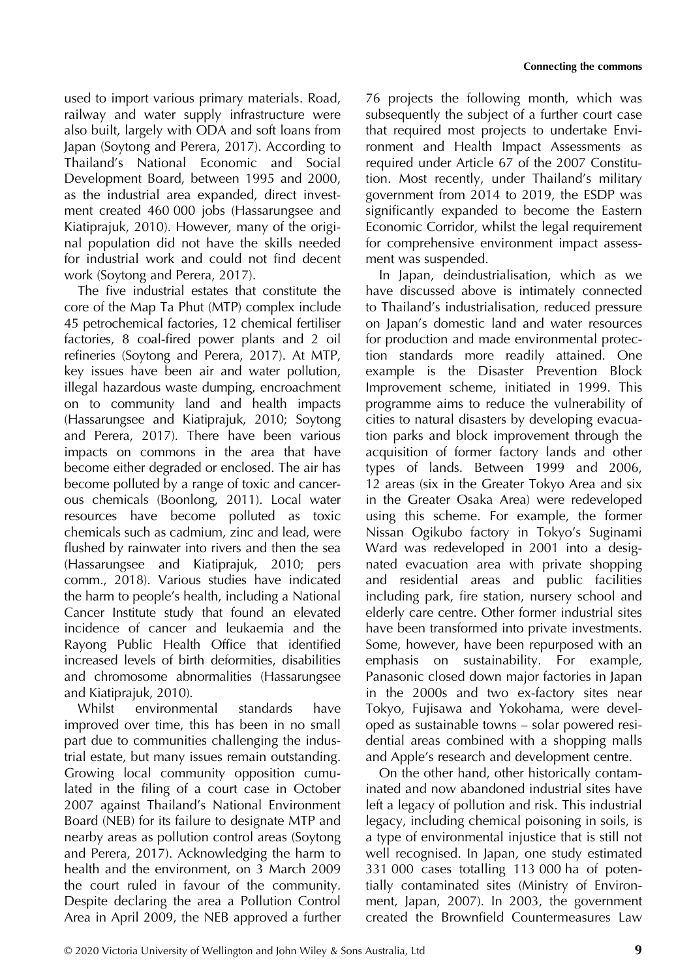used to import various primary materials. Road, railway and water supply infrastructure were also built, largely with ODA and soft loans from Japan (Soytong and Perera, 2017). According to Thailand's National Economic and Social Development Board, between 1995 and 2000, as the industrial area expanded, direct investment created 460 000 jobs (Hassarungsee and Kiatiprajuk, 2010). However, many of the original population did not have the skills needed for industrial work and could not find decent work (Soytong and Perera, 2017).

The five industrial estates that constitute the core of the Map Ta Phut (MTP) complex include 45 petrochemical factories, 12 chemical fertiliser factories, 8 coal-fired power plants and 2 oil refineries (Soytong and Perera, 2017). At MTP, key issues have been air and water pollution, illegal hazardous waste dumping, encroachment on to community land and health impacts (Hassarungsee and Kiatiprajuk, 2010; Soytong and Perera, 2017). There have been various impacts on commons in the area that have become either degraded or enclosed. The air has become polluted by a range of toxic and cancerous chemicals (Boonlong, 2011). Local water resources have become polluted as toxic chemicals such as cadmium, zinc and lead, were flushed by rainwater into rivers and then the sea (Hassarungsee and Kiatiprajuk, 2010; pers comm., 2018). Various studies have indicated the harm to people's health, including a National Cancer Institute study that found an elevated incidence of cancer and leukaemia and the Rayong Public Health Office that identified increased levels of birth deformities, disabilities and chromosome abnormalities (Hassarungsee and Kiatiprajuk, 2010).

Whilst environmental standards have improved over time, this has been in no small part due to communities challenging the industrial estate, but many issues remain outstanding. Growing local community opposition cumulated in the filing of a court case in October 2007 against Thailand's National Environment Board (NEB) for its failure to designate MTP and nearby areas as pollution control areas (Soytong and Perera, 2017). Acknowledging the harm to health and the environment, on 3 March 2009 the court ruled in favour of the community. Despite declaring the area a Pollution Control Area in April 2009, the NEB approved a further

76 projects the following month, which was subsequently the subject of a further court case that required most projects to undertake Environment and Health Impact Assessments as required under Article 67 of the 2007 Constitution. Most recently, under Thailand's military government from 2014 to 2019, the ESDP was significantly expanded to become the Eastern Economic Corridor, whilst the legal requirement for comprehensive environment impact assessment was suspended.

In Japan, deindustrialisation, which as we have discussed above is intimately connected to Thailand's industrialisation, reduced pressure on Japan's domestic land and water resources for production and made environmental protection standards more readily attained. One example is the Disaster Prevention Block Improvement scheme, initiated in 1999. This programme aims to reduce the vulnerability of cities to natural disasters by developing evacuation parks and block improvement through the acquisition of former factory lands and other types of lands. Between 1999 and 2006, 12 areas (six in the Greater Tokyo Area and six in the Greater Osaka Area) were redeveloped using this scheme. For example, the former Nissan Ogikubo factory in Tokyo's Suginami Ward was redeveloped in 2001 into a designated evacuation area with private shopping and residential areas and public facilities including park, fire station, nursery school and elderly care centre. Other former industrial sites have been transformed into private investments. Some, however, have been repurposed with an emphasis on sustainability. For example, Panasonic closed down major factories in Japan in the 2000s and two ex-factory sites near Tokyo, Fujisawa and Yokohama, were developed as sustainable towns – solar powered residential areas combined with a shopping malls and Apple's research and development centre.

On the other hand, other historically contaminated and now abandoned industrial sites have left a legacy of pollution and risk. This industrial legacy, including chemical poisoning in soils, is a type of environmental injustice that is still not well recognised. In Japan, one study estimated 331 000 cases totalling 113 000 ha of potentially contaminated sites (Ministry of Environment, Japan, 2007). In 2003, the government created the Brownfield Countermeasures Law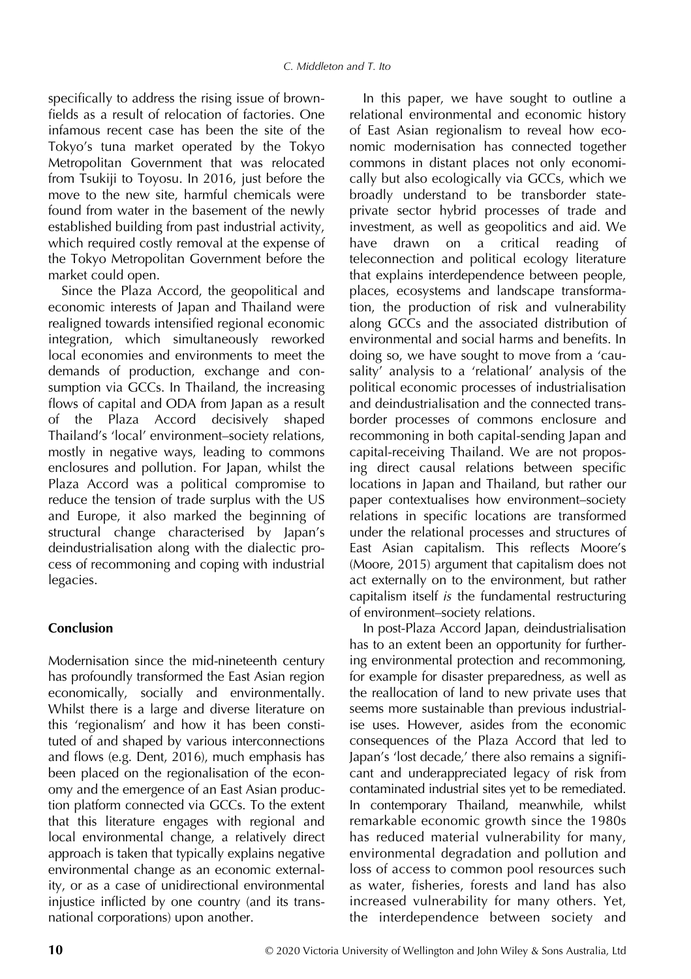specifically to address the rising issue of brownfields as a result of relocation of factories. One infamous recent case has been the site of the Tokyo's tuna market operated by the Tokyo Metropolitan Government that was relocated from Tsukiji to Toyosu. In 2016, just before the move to the new site, harmful chemicals were found from water in the basement of the newly established building from past industrial activity, which required costly removal at the expense of the Tokyo Metropolitan Government before the market could open.

Since the Plaza Accord, the geopolitical and economic interests of Japan and Thailand were realigned towards intensified regional economic integration, which simultaneously reworked local economies and environments to meet the demands of production, exchange and consumption via GCCs. In Thailand, the increasing flows of capital and ODA from Japan as a result of the Plaza Accord decisively shaped Thailand's 'local' environment–society relations, mostly in negative ways, leading to commons enclosures and pollution. For Japan, whilst the Plaza Accord was a political compromise to reduce the tension of trade surplus with the US and Europe, it also marked the beginning of structural change characterised by Japan's deindustrialisation along with the dialectic process of recommoning and coping with industrial legacies.

## Conclusion

Modernisation since the mid-nineteenth century has profoundly transformed the East Asian region economically, socially and environmentally. Whilst there is a large and diverse literature on this 'regionalism' and how it has been constituted of and shaped by various interconnections and flows (e.g. Dent, 2016), much emphasis has been placed on the regionalisation of the economy and the emergence of an East Asian production platform connected via GCCs. To the extent that this literature engages with regional and local environmental change, a relatively direct approach is taken that typically explains negative environmental change as an economic externality, or as a case of unidirectional environmental injustice inflicted by one country (and its transnational corporations) upon another.

In this paper, we have sought to outline a relational environmental and economic history of East Asian regionalism to reveal how economic modernisation has connected together commons in distant places not only economically but also ecologically via GCCs, which we broadly understand to be transborder stateprivate sector hybrid processes of trade and investment, as well as geopolitics and aid. We have drawn on a critical reading of teleconnection and political ecology literature that explains interdependence between people, places, ecosystems and landscape transformation, the production of risk and vulnerability along GCCs and the associated distribution of environmental and social harms and benefits. In doing so, we have sought to move from a 'causality' analysis to a 'relational' analysis of the political economic processes of industrialisation and deindustrialisation and the connected transborder processes of commons enclosure and recommoning in both capital-sending Japan and capital-receiving Thailand. We are not proposing direct causal relations between specific locations in Japan and Thailand, but rather our paper contextualises how environment–society relations in specific locations are transformed under the relational processes and structures of East Asian capitalism. This reflects Moore's (Moore, 2015) argument that capitalism does not act externally on to the environment, but rather capitalism itself is the fundamental restructuring of environment–society relations.

In post-Plaza Accord Japan, deindustrialisation has to an extent been an opportunity for furthering environmental protection and recommoning, for example for disaster preparedness, as well as the reallocation of land to new private uses that seems more sustainable than previous industrialise uses. However, asides from the economic consequences of the Plaza Accord that led to Japan's 'lost decade,' there also remains a significant and underappreciated legacy of risk from contaminated industrial sites yet to be remediated. In contemporary Thailand, meanwhile, whilst remarkable economic growth since the 1980s has reduced material vulnerability for many, environmental degradation and pollution and loss of access to common pool resources such as water, fisheries, forests and land has also increased vulnerability for many others. Yet, the interdependence between society and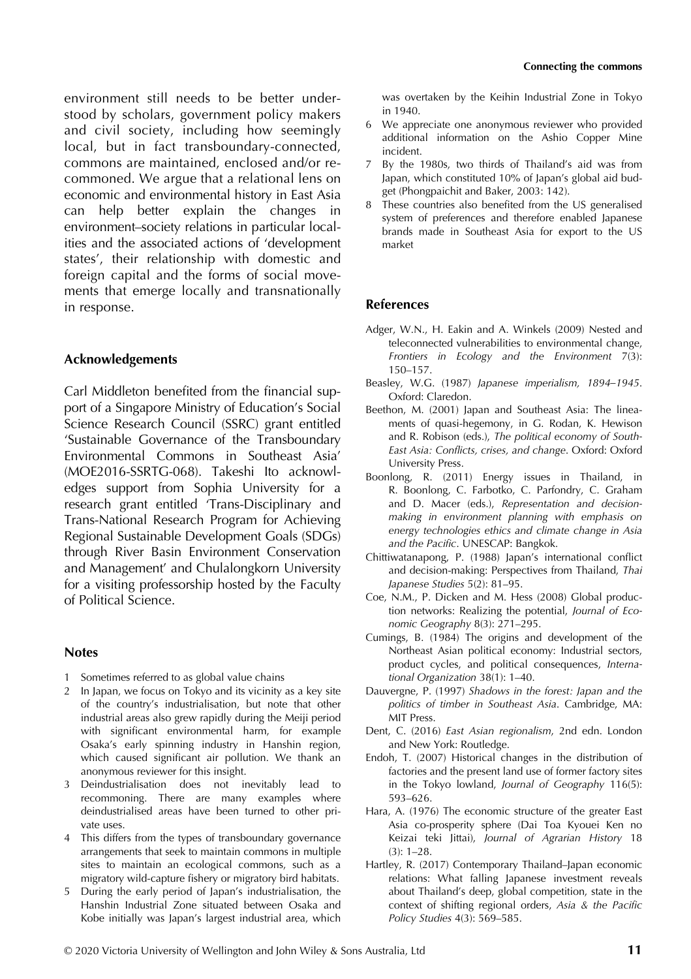environment still needs to be better understood by scholars, government policy makers and civil society, including how seemingly local, but in fact transboundary-connected, commons are maintained, enclosed and/or recommoned. We argue that a relational lens on economic and environmental history in East Asia can help better explain the changes in environment–society relations in particular localities and the associated actions of 'development states', their relationship with domestic and foreign capital and the forms of social movements that emerge locally and transnationally in response.

#### Acknowledgements

Carl Middleton benefited from the financial support of a Singapore Ministry of Education's Social Science Research Council (SSRC) grant entitled 'Sustainable Governance of the Transboundary Environmental Commons in Southeast Asia' (MOE2016-SSRTG-068). Takeshi Ito acknowledges support from Sophia University for a research grant entitled 'Trans-Disciplinary and Trans-National Research Program for Achieving Regional Sustainable Development Goals (SDGs) through River Basin Environment Conservation and Management' and Chulalongkorn University for a visiting professorship hosted by the Faculty of Political Science.

#### **Notes**

- 1 Sometimes referred to as global value chains
- 2 In Japan, we focus on Tokyo and its vicinity as a key site of the country's industrialisation, but note that other industrial areas also grew rapidly during the Meiji period with significant environmental harm, for example Osaka's early spinning industry in Hanshin region, which caused significant air pollution. We thank an anonymous reviewer for this insight.
- 3 Deindustrialisation does not inevitably lead to recommoning. There are many examples where deindustrialised areas have been turned to other private uses.
- 4 This differs from the types of transboundary governance arrangements that seek to maintain commons in multiple sites to maintain an ecological commons, such as a migratory wild-capture fishery or migratory bird habitats.
- 5 During the early period of Japan's industrialisation, the Hanshin Industrial Zone situated between Osaka and Kobe initially was Japan's largest industrial area, which

was overtaken by the Keihin Industrial Zone in Tokyo in 1940.

- 6 We appreciate one anonymous reviewer who provided additional information on the Ashio Copper Mine incident.
- 7 By the 1980s, two thirds of Thailand's aid was from Japan, which constituted 10% of Japan's global aid budget (Phongpaichit and Baker, 2003: 142).
- These countries also benefited from the US generalised system of preferences and therefore enabled Japanese brands made in Southeast Asia for export to the US market

#### References

- Adger, W.N., H. Eakin and A. Winkels (2009) Nested and teleconnected vulnerabilities to environmental change, Frontiers in Ecology and the Environment 7(3): 150–157.
- Beasley, W.G. (1987) Japanese imperialism, 1894–1945. Oxford: Claredon.
- Beethon, M. (2001) Japan and Southeast Asia: The lineaments of quasi-hegemony, in G. Rodan, K. Hewison and R. Robison (eds.), The political economy of South-East Asia: Conflicts, crises, and change. Oxford: Oxford University Press.
- Boonlong, R. (2011) Energy issues in Thailand, in R. Boonlong, C. Farbotko, C. Parfondry, C. Graham and D. Macer (eds.), Representation and decisionmaking in environment planning with emphasis on energy technologies ethics and climate change in Asia and the Pacific. UNESCAP: Bangkok.
- Chittiwatanapong, P. (1988) Japan's international conflict and decision-making: Perspectives from Thailand, Thai Japanese Studies 5(2): 81–95.
- Coe, N.M., P. Dicken and M. Hess (2008) Global production networks: Realizing the potential, Journal of Economic Geography 8(3): 271–295.
- Cumings, B. (1984) The origins and development of the Northeast Asian political economy: Industrial sectors, product cycles, and political consequences, International Organization 38(1): 1–40.
- Dauvergne, P. (1997) Shadows in the forest: Japan and the politics of timber in Southeast Asia. Cambridge, MA: MIT Press.
- Dent, C. (2016) East Asian regionalism, 2nd edn. London and New York: Routledge.
- Endoh, T. (2007) Historical changes in the distribution of factories and the present land use of former factory sites in the Tokyo lowland, Journal of Geography 116(5): 593–626.
- Hara, A. (1976) The economic structure of the greater East Asia co-prosperity sphere (Dai Toa Kyouei Ken no Keizai teki Jittai), Journal of Agrarian History 18 (3): 1–28.
- Hartley, R. (2017) Contemporary Thailand–Japan economic relations: What falling Japanese investment reveals about Thailand's deep, global competition, state in the context of shifting regional orders, Asia & the Pacific Policy Studies 4(3): 569–585.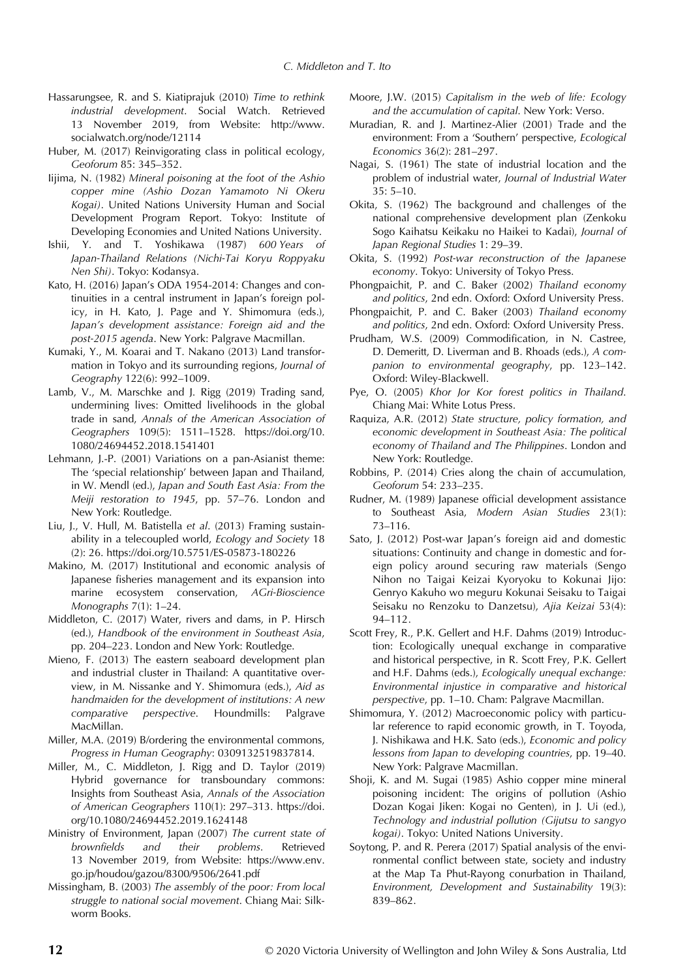- Hassarungsee, R. and S. Kiatiprajuk (2010) Time to rethink industrial development. Social Watch. Retrieved 13 November 2019, from Website: [http://www.](http://www.socialwatch.org/node/12114) [socialwatch.org/node/12114](http://www.socialwatch.org/node/12114)
- Huber, M. (2017) Reinvigorating class in political ecology, Geoforum 85: 345–352.
- Iijima, N. (1982) Mineral poisoning at the foot of the Ashio copper mine (Ashio Dozan Yamamoto Ni Okeru Kogai). United Nations University Human and Social Development Program Report. Tokyo: Institute of Developing Economies and United Nations University.
- Ishii, Y. and T. Yoshikawa (1987) 600 Years of Japan-Thailand Relations (Nichi-Tai Koryu Roppyaku Nen Shi). Tokyo: Kodansya.
- Kato, H. (2016) Japan's ODA 1954-2014: Changes and continuities in a central instrument in Japan's foreign policy, in H. Kato, J. Page and Y. Shimomura (eds.), Japan's development assistance: Foreign aid and the post-2015 agenda. New York: Palgrave Macmillan.
- Kumaki, Y., M. Koarai and T. Nakano (2013) Land transformation in Tokyo and its surrounding regions, Journal of Geography 122(6): 992–1009.
- Lamb, V., M. Marschke and J. Rigg (2019) Trading sand, undermining lives: Omitted livelihoods in the global trade in sand, Annals of the American Association of Geographers 109(5): 1511–1528. [https://doi.org/10.](https://doi.org/10.1080/24694452.2018.1541401) [1080/24694452.2018.1541401](https://doi.org/10.1080/24694452.2018.1541401)
- Lehmann, J.-P. (2001) Variations on a pan-Asianist theme: The 'special relationship' between Japan and Thailand, in W. Mendl (ed.), Japan and South East Asia: From the Meiji restoration to 1945, pp. 57–76. London and New York: Routledge.
- Liu, J., V. Hull, M. Batistella et al. (2013) Framing sustainability in a telecoupled world, Ecology and Society 18 (2): 26.<https://doi.org/10.5751/ES-05873-180226>
- Makino, M. (2017) Institutional and economic analysis of Japanese fisheries management and its expansion into marine ecosystem conservation, AGri-Bioscience Monographs 7(1): 1–24.
- Middleton, C. (2017) Water, rivers and dams, in P. Hirsch (ed.), Handbook of the environment in Southeast Asia, pp. 204–223. London and New York: Routledge.
- Mieno, F. (2013) The eastern seaboard development plan and industrial cluster in Thailand: A quantitative overview, in M. Nissanke and Y. Shimomura (eds.), Aid as handmaiden for the development of institutions: A new comparative perspective. Houndmills: Palgrave MacMillan.
- Miller, M.A. (2019) B/ordering the environmental commons, Progress in Human Geography: 0309132519837814.
- Miller, M., C. Middleton, J. Rigg and D. Taylor (2019) Hybrid governance for transboundary commons: Insights from Southeast Asia, Annals of the Association of American Geographers 110(1): 297–313. [https://doi.](https://doi.org/10.1080/24694452.2019.1624148) [org/10.1080/24694452.2019.1624148](https://doi.org/10.1080/24694452.2019.1624148)
- Ministry of Environment, Japan (2007) The current state of brownfields and their problems. Retrieved 13 November 2019, from Website: [https://www.env.](https://www.env.go.jp/houdou/gazou/8300/9506/2641.pdf) [go.jp/houdou/gazou/8300/9506/2641.pdf](https://www.env.go.jp/houdou/gazou/8300/9506/2641.pdf)
- Missingham, B. (2003) The assembly of the poor: From local struggle to national social movement. Chiang Mai: Silkworm Books.
- Moore, J.W. (2015) Capitalism in the web of life: Ecology and the accumulation of capital. New York: Verso.
- Muradian, R. and J. Martinez-Alier (2001) Trade and the environment: From a 'Southern' perspective, Ecological Economics 36(2): 281–297.
- Nagai, S. (1961) The state of industrial location and the problem of industrial water, Journal of Industrial Water 35: 5–10.
- Okita, S. (1962) The background and challenges of the national comprehensive development plan (Zenkoku Sogo Kaihatsu Keikaku no Haikei to Kadai), Journal of Japan Regional Studies 1: 29–39.
- Okita, S. (1992) Post-war reconstruction of the Japanese economy. Tokyo: University of Tokyo Press.
- Phongpaichit, P. and C. Baker (2002) Thailand economy and politics, 2nd edn. Oxford: Oxford University Press.
- Phongpaichit, P. and C. Baker (2003) Thailand economy and politics, 2nd edn. Oxford: Oxford University Press.
- Prudham, W.S. (2009) Commodification, in N. Castree, D. Demeritt, D. Liverman and B. Rhoads (eds.), A companion to environmental geography, pp. 123–142. Oxford: Wiley-Blackwell.
- Pye, O. (2005) Khor Jor Kor forest politics in Thailand. Chiang Mai: White Lotus Press.
- Raquiza, A.R. (2012) State structure, policy formation, and economic development in Southeast Asia: The political economy of Thailand and The Philippines. London and New York: Routledge.
- Robbins, P. (2014) Cries along the chain of accumulation, Geoforum 54: 233–235.
- Rudner, M. (1989) Japanese official development assistance to Southeast Asia, Modern Asian Studies 23(1): 73–116.
- Sato, J. (2012) Post-war Japan's foreign aid and domestic situations: Continuity and change in domestic and foreign policy around securing raw materials (Sengo Nihon no Taigai Keizai Kyoryoku to Kokunai Jijo: Genryo Kakuho wo meguru Kokunai Seisaku to Taigai Seisaku no Renzoku to Danzetsu), Ajia Keizai 53(4): 94–112.
- Scott Frey, R., P.K. Gellert and H.F. Dahms (2019) Introduction: Ecologically unequal exchange in comparative and historical perspective, in R. Scott Frey, P.K. Gellert and H.F. Dahms (eds.), Ecologically unequal exchange: Environmental injustice in comparative and historical perspective, pp. 1–10. Cham: Palgrave Macmillan.
- Shimomura, Y. (2012) Macroeconomic policy with particular reference to rapid economic growth, in T. Toyoda, J. Nishikawa and H.K. Sato (eds.), Economic and policy lessons from Japan to developing countries, pp. 19–40. New York: Palgrave Macmillan.
- Shoji, K. and M. Sugai (1985) Ashio copper mine mineral poisoning incident: The origins of pollution (Ashio Dozan Kogai Jiken: Kogai no Genten), in J. Ui (ed.), Technology and industrial pollution (Gijutsu to sangyo kogai). Tokyo: United Nations University.
- Soytong, P. and R. Perera (2017) Spatial analysis of the environmental conflict between state, society and industry at the Map Ta Phut-Rayong conurbation in Thailand, Environment, Development and Sustainability 19(3): 839–862.